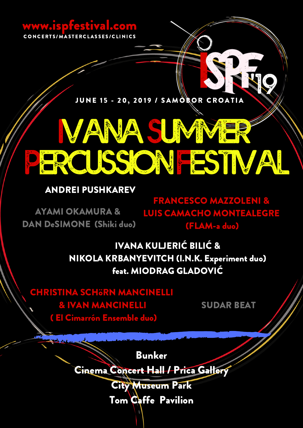# www.ispfestival.com

CONCERTS/MASTERCLASSES/CLINICS

JUNE 15 - 20, 2019 / SAMOROR CROATIA

# **IVANASUMMER PERCUSSIONFESTIVAL**

# ANDREI PUSHKAREV

AYAMI OKAMURA & DAN DeSIMONE (Shiki duo)

FRANCESCO MAZZOLENI & LUIS CAMACHO MONTEALEGRE (FLAM-a duo)

IVANA KULJERIĆ BILIĆ & NIKOLA KRBANYEVITCH (I.N.K. Experiment duo) feat. MIODRAG GLADOVIĆ

CHRISTINA SCHöRN MANCINELLI & IVAN MANCINELLI ( El Cimarrón Ensemble duo)

SUDAR BEAT

Bunker

Cinema Concert Hall / Prica Gallery

City Museum Park Tom Caffe Pavilion